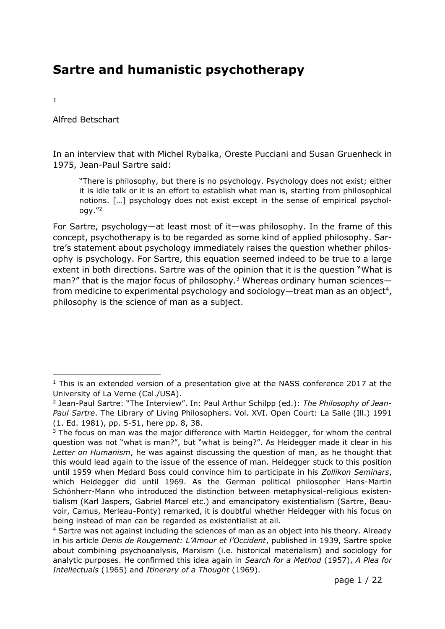# **Sartre and humanistic psychotherapy**

1

Alfred Betschart

In an interview that with Michel Rybalka, Oreste Pucciani and Susan Gruenheck in 1975, Jean-Paul Sartre said:

"There is philosophy, but there is no psychology. Psychology does not exist; either it is idle talk or it is an effort to establish what man is, starting from philosophical notions. […] psychology does not exist except in the sense of empirical psychology."<sup>2</sup>

For Sartre, psychology—at least most of it—was philosophy. In the frame of this concept, psychotherapy is to be regarded as some kind of applied philosophy. Sartre's statement about psychology immediately raises the question whether philosophy is psychology. For Sartre, this equation seemed indeed to be true to a large extent in both directions. Sartre was of the opinion that it is the question "What is man?" that is the major focus of philosophy.<sup>3</sup> Whereas ordinary human sciences from medicine to experimental psychology and sociology—treat man as an object<sup>4</sup>, philosophy is the science of man as a subject.

 $1$  This is an extended version of a presentation give at the NASS conference 2017 at the University of La Verne (Cal./USA).

<sup>2</sup> Jean-Paul Sartre: "The Interview". In: Paul Arthur Schilpp (ed.): *The Philosophy of Jean-Paul Sartre*. The Library of Living Philosophers. Vol. XVI. Open Court: La Salle (Ill.) 1991 (1. Ed. 1981), pp. 5-51, here pp. 8, 38.

 $3$  The focus on man was the major difference with Martin Heidegger, for whom the central question was not "what is man?", but "what is being?". As Heidegger made it clear in his *Letter on Humanism*, he was against discussing the question of man, as he thought that this would lead again to the issue of the essence of man. Heidegger stuck to this position until 1959 when Medard Boss could convince him to participate in his *Zollikon Seminars*, which Heidegger did until 1969. As the German political philosopher Hans-Martin Schönherr-Mann who introduced the distinction between metaphysical-religious existentialism (Karl Jaspers, Gabriel Marcel etc.) and emancipatory existentialism (Sartre, Beauvoir, Camus, Merleau-Ponty) remarked, it is doubtful whether Heidegger with his focus on being instead of man can be regarded as existentialist at all.

<sup>4</sup> Sartre was not against including the sciences of man as an object into his theory. Already in his article *Denis de Rougement: L'Amour et l'Occident*, published in 1939, Sartre spoke about combining psychoanalysis, Marxism (i.e. historical materialism) and sociology for analytic purposes. He confirmed this idea again in *Search for a Method* (1957), *A Plea for Intellectuals* (1965) and *Itinerary of a Thought* (1969).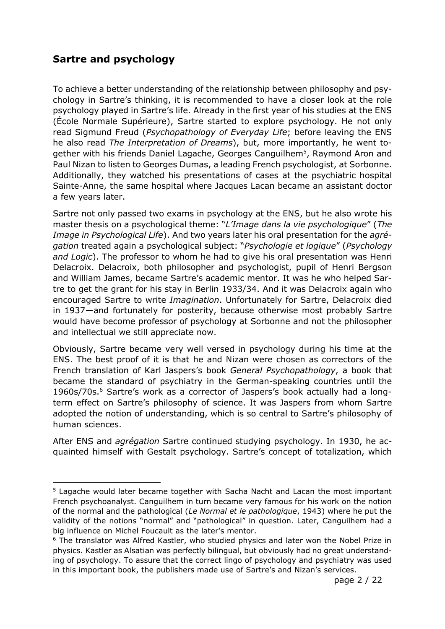# **Sartre and psychology**

To achieve a better understanding of the relationship between philosophy and psychology in Sartre's thinking, it is recommended to have a closer look at the role psychology played in Sartre's life. Already in the first year of his studies at the ENS (École Normale Supérieure), Sartre started to explore psychology. He not only read Sigmund Freud (*Psychopathology of Everyday Life*; before leaving the ENS he also read *The Interpretation of Dreams*), but, more importantly, he went together with his friends Daniel Lagache, Georges Canguilhem<sup>5</sup>, Raymond Aron and Paul Nizan to listen to Georges Dumas, a leading French psychologist, at Sorbonne. Additionally, they watched his presentations of cases at the psychiatric hospital Sainte-Anne, the same hospital where Jacques Lacan became an assistant doctor a few years later.

Sartre not only passed two exams in psychology at the ENS, but he also wrote his master thesis on a psychological theme: "*L'Image dans la vie psychologique*" (*The Image in Psychological Life*). And two years later his oral presentation for the *agrégation* treated again a psychological subject: "*Psychologie et logique*" (*Psychology and Logic*). The professor to whom he had to give his oral presentation was Henri Delacroix. Delacroix, both philosopher and psychologist, pupil of Henri Bergson and William James, became Sartre's academic mentor. It was he who helped Sartre to get the grant for his stay in Berlin 1933/34. And it was Delacroix again who encouraged Sartre to write *Imagination*. Unfortunately for Sartre, Delacroix died in 1937—and fortunately for posterity, because otherwise most probably Sartre would have become professor of psychology at Sorbonne and not the philosopher and intellectual we still appreciate now.

Obviously, Sartre became very well versed in psychology during his time at the ENS. The best proof of it is that he and Nizan were chosen as correctors of the French translation of Karl Jaspers's book *General Psychopathology*, a book that became the standard of psychiatry in the German-speaking countries until the 1960s/70s.<sup>6</sup> Sartre's work as a corrector of Jaspers's book actually had a longterm effect on Sartre's philosophy of science. It was Jaspers from whom Sartre adopted the notion of understanding, which is so central to Sartre's philosophy of human sciences.

After ENS and *agrégation* Sartre continued studying psychology. In 1930, he acquainted himself with Gestalt psychology. Sartre's concept of totalization, which

<sup>5</sup> Lagache would later became together with Sacha Nacht and Lacan the most important French psychoanalyst. Canguilhem in turn became very famous for his work on the notion of the normal and the pathological (*Le Normal et le pathologique*, 1943) where he put the validity of the notions "normal" and "pathological" in question. Later, Canguilhem had a big influence on Michel Foucault as the later's mentor.

<sup>&</sup>lt;sup>6</sup> The translator was Alfred Kastler, who studied physics and later won the Nobel Prize in physics. Kastler as Alsatian was perfectly bilingual, but obviously had no great understanding of psychology. To assure that the correct lingo of psychology and psychiatry was used in this important book, the publishers made use of Sartre's and Nizan's services.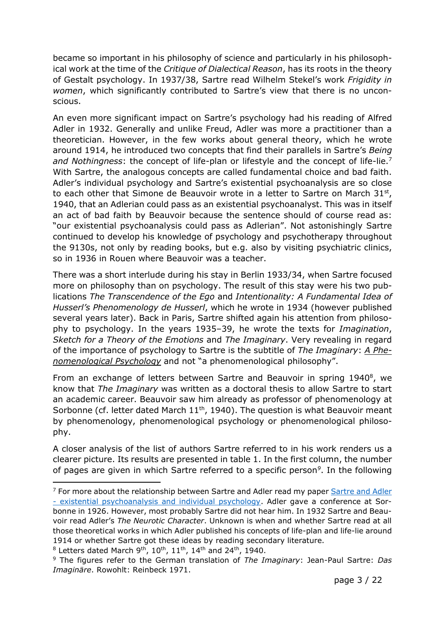became so important in his philosophy of science and particularly in his philosophical work at the time of the *Critique of Dialectical Reason*, has its roots in the theory of Gestalt psychology. In 1937/38, Sartre read Wilhelm Stekel's work *Frigidity in women*, which significantly contributed to Sartre's view that there is no unconscious.

An even more significant impact on Sartre's psychology had his reading of Alfred Adler in 1932. Generally and unlike Freud, Adler was more a practitioner than a theoretician. However, in the few works about general theory, which he wrote around 1914, he introduced two concepts that find their parallels in Sartre's *Being and Nothingness*: the concept of life-plan or lifestyle and the concept of life-lie.<sup>7</sup> With Sartre, the analogous concepts are called fundamental choice and bad faith. Adler's individual psychology and Sartre's existential psychoanalysis are so close to each other that Simone de Beauvoir wrote in a letter to Sartre on March  $31^{st}$ , 1940, that an Adlerian could pass as an existential psychoanalyst. This was in itself an act of bad faith by Beauvoir because the sentence should of course read as: "our existential psychoanalysis could pass as Adlerian". Not astonishingly Sartre continued to develop his knowledge of psychology and psychotherapy throughout the 9130s, not only by reading books, but e.g. also by visiting psychiatric clinics, so in 1936 in Rouen where Beauvoir was a teacher.

There was a short interlude during his stay in Berlin 1933/34, when Sartre focused more on philosophy than on psychology. The result of this stay were his two publications *The Transcendence of the Ego* and *Intentionality: A Fundamental Idea of Husserl's Phenomenology de Husserl*, which he wrote in 1934 (however published several years later). Back in Paris, Sartre shifted again his attention from philosophy to psychology. In the years 1935‒39, he wrote the texts for *Imagination*, *Sketch for a Theory of the Emotions* and *The Imaginary*. Very revealing in regard of the importance of psychology to Sartre is the subtitle of *The Imaginary*: *A Phenomenological Psychology* and not "a phenomenological philosophy".

From an exchange of letters between Sartre and Beauvoir in spring 1940<sup>8</sup>, we know that *The Imaginary* was written as a doctoral thesis to allow Sartre to start an academic career. Beauvoir saw him already as professor of phenomenology at Sorbonne (cf. letter dated March  $11<sup>th</sup>$ , 1940). The question is what Beauvoir meant by phenomenology, phenomenological psychology or phenomenological philosophy.

A closer analysis of the list of authors Sartre referred to in his work renders us a clearer picture. Its results are presented in table 1. In the first column, the number of pages are given in which Sartre referred to a specific person*<sup>9</sup>* . In the following

<sup>&</sup>lt;sup>7</sup> For more about the relationship between [Sartre and Adler](http://sartre.ch/UKSS2010.pdf) read my paper Sartre and Adler - [existential psychoanalysis and individual psychology.](http://sartre.ch/UKSS2010.pdf) Adler gave a conference at Sorbonne in 1926. However, most probably Sartre did not hear him. In 1932 Sartre and Beauvoir read Adler's *The Neurotic Character*. Unknown is when and whether Sartre read at all those theoretical works in which Adler published his concepts of life-plan and life-lie around 1914 or whether Sartre got these ideas by reading secondary literature.

 $8$  Letters dated March 9<sup>th</sup>, 10<sup>th</sup>, 11<sup>th</sup>, 14<sup>th</sup> and 24<sup>th</sup>, 1940.

<sup>9</sup> The figures refer to the German translation of *The Imaginary*: Jean-Paul Sartre: *Das Imaginäre*. Rowohlt: Reinbeck 1971.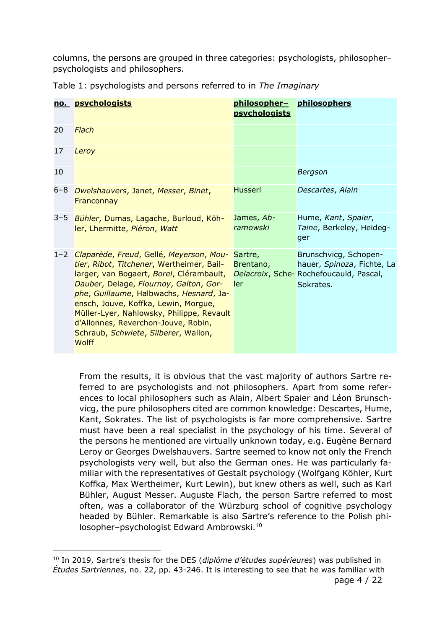columns, the persons are grouped in three categories: psychologists, philosopherpsychologists and philosophers.

|         | no. psychologists                                                                                                                                                                                                                                                                                                                                                                                  | philosopher-<br><b>psychologists</b> | philosophers                                                                                               |
|---------|----------------------------------------------------------------------------------------------------------------------------------------------------------------------------------------------------------------------------------------------------------------------------------------------------------------------------------------------------------------------------------------------------|--------------------------------------|------------------------------------------------------------------------------------------------------------|
| 20      | Flach                                                                                                                                                                                                                                                                                                                                                                                              |                                      |                                                                                                            |
| 17      | Leroy                                                                                                                                                                                                                                                                                                                                                                                              |                                      |                                                                                                            |
| 10      |                                                                                                                                                                                                                                                                                                                                                                                                    |                                      | <b>Bergson</b>                                                                                             |
| 6-8     | Dwelshauvers, Janet, Messer, Binet,<br>Franconnay                                                                                                                                                                                                                                                                                                                                                  | <b>Husserl</b>                       | Descartes, Alain                                                                                           |
| 3–5     | Bühler, Dumas, Lagache, Burloud, Köh-<br>ler, Lhermitte, Piéron, Watt                                                                                                                                                                                                                                                                                                                              | James, Ab-<br>ramowski               | Hume, Kant, Spaier,<br>Taine, Berkeley, Heideg-<br>ger                                                     |
| $1 - 2$ | Claparède, Freud, Gellé, Meyerson, Mou-<br>tier, Ribot, Titchener, Wertheimer, Bail-<br>larger, van Bogaert, Borel, Clérambault,<br>Dauber, Delage, Flournoy, Galton, Gor-<br>phe, Guillaume, Halbwachs, Hesnard, Ja-<br>ensch, Jouve, Koffka, Lewin, Morgue,<br>Müller-Lyer, Nahlowsky, Philippe, Revault<br>d'Allonnes, Reverchon-Jouve, Robin,<br>Schraub, Schwiete, Silberer, Wallon,<br>Wolff | Sartre,<br>Brentano,<br>ler          | Brunschvicg, Schopen-<br>hauer, Spinoza, Fichte, La<br>Delacroix, Sche-Rochefoucauld, Pascal,<br>Sokrates. |

Table 1: psychologists and persons referred to in *The Imaginary*

From the results, it is obvious that the vast majority of authors Sartre referred to are psychologists and not philosophers. Apart from some references to local philosophers such as Alain, Albert Spaier and Léon Brunschvicg, the pure philosophers cited are common knowledge: Descartes, Hume, Kant, Sokrates. The list of psychologists is far more comprehensive. Sartre must have been a real specialist in the psychology of his time. Several of the persons he mentioned are virtually unknown today, e.g. Eugène Bernard Leroy or Georges Dwelshauvers. Sartre seemed to know not only the French psychologists very well, but also the German ones. He was particularly familiar with the representatives of Gestalt psychology (Wolfgang Köhler, Kurt Koffka, Max Wertheimer, Kurt Lewin), but knew others as well, such as Karl Bühler, August Messer. Auguste Flach, the person Sartre referred to most often, was a collaborator of the Würzburg school of cognitive psychology headed by Bühler. Remarkable is also Sartre's reference to the Polish philosopher-psychologist Edward Ambrowski.<sup>10</sup>

<sup>10</sup> In 2019, Sartre's thesis for the DES (*diplôme d'études supérieures*) was published in *Études Sartriennes*, no. 22, pp. 43-246. It is interesting to see that he was familiar with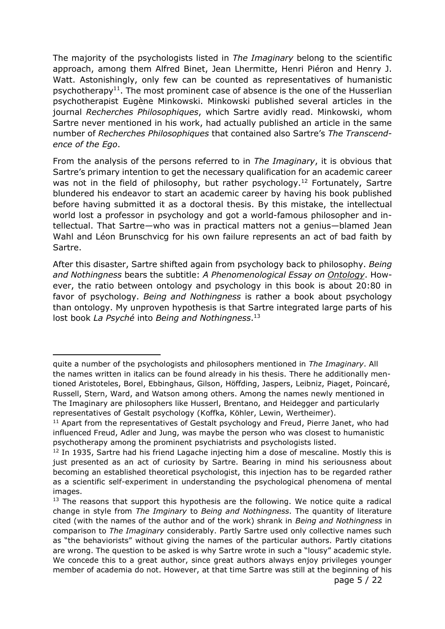The majority of the psychologists listed in *The Imaginary* belong to the scientific approach, among them Alfred Binet, Jean Lhermitte, Henri Piéron and Henry J. Watt. Astonishingly, only few can be counted as representatives of humanistic psychotherapy<sup>11</sup>. The most prominent case of absence is the one of the Husserlian psychotherapist Eugène Minkowski. Minkowski published several articles in the journal *Recherches Philosophiques*, which Sartre avidly read. Minkowski, whom Sartre never mentioned in his work, had actually published an article in the same number of *Recherches Philosophiques* that contained also Sartre's *The Transcendence of the Ego*.

From the analysis of the persons referred to in *The Imaginary*, it is obvious that Sartre's primary intention to get the necessary qualification for an academic career was not in the field of philosophy, but rather psychology.<sup>12</sup> Fortunately, Sartre blundered his endeavor to start an academic career by having his book published before having submitted it as a doctoral thesis. By this mistake, the intellectual world lost a professor in psychology and got a world-famous philosopher and intellectual. That Sartre—who was in practical matters not a genius—blamed Jean Wahl and Léon Brunschvicg for his own failure represents an act of bad faith by Sartre.

After this disaster, Sartre shifted again from psychology back to philosophy. *Being and Nothingness* bears the subtitle: *A Phenomenological Essay on Ontology*. However, the ratio between ontology and psychology in this book is about 20:80 in favor of psychology. *Being and Nothingness* is rather a book about psychology than ontology. My unproven hypothesis is that Sartre integrated large parts of his lost book *La Psyché* into *Being and Nothingness*. 13

quite a number of the psychologists and philosophers mentioned in *The Imaginary*. All the names written in italics can be found already in his thesis. There he additionally mentioned Aristoteles, Borel, Ebbinghaus, Gilson, Höffding, Jaspers, Leibniz, Piaget, Poincaré, Russell, Stern, Ward, and Watson among others. Among the names newly mentioned in The Imaginary are philosophers like Husserl, Brentano, and Heidegger and particularly representatives of Gestalt psychology (Koffka, Köhler, Lewin, Wertheimer).

<sup>&</sup>lt;sup>11</sup> Apart from the representatives of Gestalt psychology and Freud, Pierre Janet, who had influenced Freud, Adler and Jung, was maybe the person who was closest to humanistic psychotherapy among the prominent psychiatrists and psychologists listed.

 $12$  In 1935, Sartre had his friend Lagache injecting him a dose of mescaline. Mostly this is just presented as an act of curiosity by Sartre. Bearing in mind his seriousness about becoming an established theoretical psychologist, this injection has to be regarded rather as a scientific self-experiment in understanding the psychological phenomena of mental images.

 $13$  The reasons that support this hypothesis are the following. We notice quite a radical change in style from *The Imginary* to *Being and Nothingness*. The quantity of literature cited (with the names of the author and of the work) shrank in *Being and Nothingness* in comparison to *The Imaginary* considerably. Partly Sartre used only collective names such as "the behaviorists" without giving the names of the particular authors. Partly citations are wrong. The question to be asked is why Sartre wrote in such a "lousy" academic style. We concede this to a great author, since great authors always enjoy privileges younger member of academia do not. However, at that time Sartre was still at the beginning of his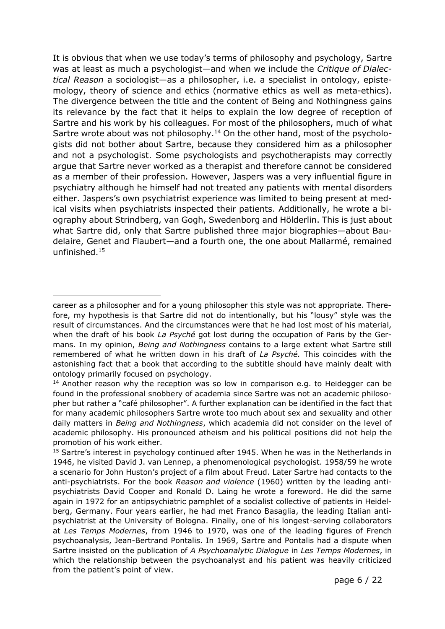It is obvious that when we use today's terms of philosophy and psychology, Sartre was at least as much a psychologist—and when we include the *Critique of Dialectical Reason* a sociologist—as a philosopher, i.e. a specialist in ontology, epistemology, theory of science and ethics (normative ethics as well as meta-ethics). The divergence between the title and the content of Being and Nothingness gains its relevance by the fact that it helps to explain the low degree of reception of Sartre and his work by his colleagues. For most of the philosophers, much of what Sartre wrote about was not philosophy.<sup>14</sup> On the other hand, most of the psychologists did not bother about Sartre, because they considered him as a philosopher and not a psychologist. Some psychologists and psychotherapists may correctly argue that Sartre never worked as a therapist and therefore cannot be considered as a member of their profession. However, Jaspers was a very influential figure in psychiatry although he himself had not treated any patients with mental disorders either. Jaspers's own psychiatrist experience was limited to being present at medical visits when psychiatrists inspected their patients. Additionally, he wrote a biography about Strindberg, van Gogh, Swedenborg and Hölderlin. This is just about what Sartre did, only that Sartre published three major biographies—about Baudelaire, Genet and Flaubert—and a fourth one, the one about Mallarmé, remained unfinished. 15

career as a philosopher and for a young philosopher this style was not appropriate. Therefore, my hypothesis is that Sartre did not do intentionally, but his "lousy" style was the result of circumstances. And the circumstances were that he had lost most of his material, when the draft of his book *La Psyché* got lost during the occupation of Paris by the Germans. In my opinion, *Being and Nothingness* contains to a large extent what Sartre still remembered of what he written down in his draft of *La Psyché.* This coincides with the astonishing fact that a book that according to the subtitle should have mainly dealt with ontology primarily focused on psychology.

 $14$  Another reason why the reception was so low in comparison e.g. to Heidegger can be found in the professional snobbery of academia since Sartre was not an academic philosopher but rather a "café philosopher". A further explanation can be identified in the fact that for many academic philosophers Sartre wrote too much about sex and sexuality and other daily matters in *Being and Nothingness*, which academia did not consider on the level of academic philosophy. His pronounced atheism and his political positions did not help the promotion of his work either.

<sup>&</sup>lt;sup>15</sup> Sartre's interest in psychology continued after 1945. When he was in the Netherlands in 1946, he visited David J. van Lennep, a phenomenological psychologist. 1958/59 he wrote a scenario for John Huston's project of a film about Freud. Later Sartre had contacts to the anti-psychiatrists. For the book *Reason and violence* (1960) written by the leading antipsychiatrists David Cooper and Ronald D. Laing he wrote a foreword. He did the same again in 1972 for an antipsychiatric pamphlet of a socialist collective of patients in Heidelberg, Germany. Four years earlier, he had met Franco Basaglia, the leading Italian antipsychiatrist at the University of Bologna. Finally, one of his longest-serving collaborators at *Les Temps Modernes*, from 1946 to 1970, was one of the leading figures of French psychoanalysis, Jean-Bertrand Pontalis. In 1969, Sartre and Pontalis had a dispute when Sartre insisted on the publication of *A Psychoanalytic Dialogue* in *Les Temps Modernes*, in which the relationship between the psychoanalyst and his patient was heavily criticized from the patient's point of view.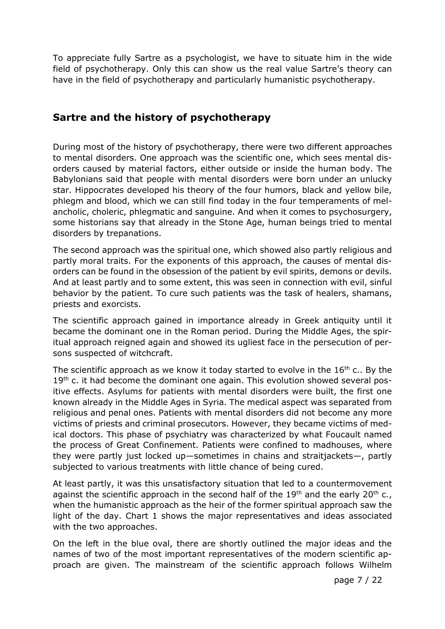To appreciate fully Sartre as a psychologist, we have to situate him in the wide field of psychotherapy. Only this can show us the real value Sartre's theory can have in the field of psychotherapy and particularly humanistic psychotherapy.

# **Sartre and the history of psychotherapy**

During most of the history of psychotherapy, there were two different approaches to mental disorders. One approach was the scientific one, which sees mental disorders caused by material factors, either outside or inside the human body. The Babylonians said that people with mental disorders were born under an unlucky star. Hippocrates developed his theory of the four humors, black and yellow bile, phlegm and blood, which we can still find today in the four temperaments of melancholic, choleric, phlegmatic and sanguine. And when it comes to psychosurgery, some historians say that already in the Stone Age, human beings tried to mental disorders by trepanations.

The second approach was the spiritual one, which showed also partly religious and partly moral traits. For the exponents of this approach, the causes of mental disorders can be found in the obsession of the patient by evil spirits, demons or devils. And at least partly and to some extent, this was seen in connection with evil, sinful behavior by the patient. To cure such patients was the task of healers, shamans, priests and exorcists.

The scientific approach gained in importance already in Greek antiquity until it became the dominant one in the Roman period. During the Middle Ages, the spiritual approach reigned again and showed its ugliest face in the persecution of persons suspected of witchcraft.

The scientific approach as we know it today started to evolve in the  $16<sup>th</sup>$  c.. By the  $19<sup>th</sup>$  c. it had become the dominant one again. This evolution showed several positive effects. Asylums for patients with mental disorders were built, the first one known already in the Middle Ages in Syria. The medical aspect was separated from religious and penal ones. Patients with mental disorders did not become any more victims of priests and criminal prosecutors. However, they became victims of medical doctors. This phase of psychiatry was characterized by what Foucault named the process of Great Confinement. Patients were confined to madhouses, where they were partly just locked up—sometimes in chains and straitjackets—, partly subjected to various treatments with little chance of being cured.

At least partly, it was this unsatisfactory situation that led to a countermovement against the scientific approach in the second half of the  $19<sup>th</sup>$  and the early 20<sup>th</sup> c., when the humanistic approach as the heir of the former spiritual approach saw the light of the day. Chart 1 shows the major representatives and ideas associated with the two approaches.

On the left in the blue oval, there are shortly outlined the major ideas and the names of two of the most important representatives of the modern scientific approach are given. The mainstream of the scientific approach follows Wilhelm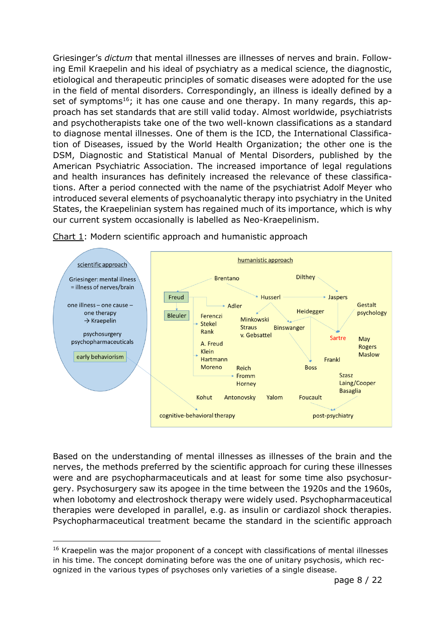Griesinger's *dictum* that mental illnesses are illnesses of nerves and brain. Following Emil Kraepelin and his ideal of psychiatry as a medical science, the diagnostic, etiological and therapeutic principles of somatic diseases were adopted for the use in the field of mental disorders. Correspondingly, an illness is ideally defined by a set of symptoms<sup>16</sup>; it has one cause and one therapy. In many regards, this approach has set standards that are still valid today. Almost worldwide, psychiatrists and psychotherapists take one of the two well-known classifications as a standard to diagnose mental illnesses. One of them is the ICD, the International Classification of Diseases, issued by the World Health Organization; the other one is the DSM, Diagnostic and Statistical Manual of Mental Disorders, published by the American Psychiatric Association. The increased importance of legal regulations and health insurances has definitely increased the relevance of these classifications. After a period connected with the name of the psychiatrist Adolf Meyer who introduced several elements of psychoanalytic therapy into psychiatry in the United States, the Kraepelinian system has regained much of its importance, which is why our current system occasionally is labelled as Neo-Kraepelinism.



Chart 1: Modern scientific approach and humanistic approach

Based on the understanding of mental illnesses as illnesses of the brain and the nerves, the methods preferred by the scientific approach for curing these illnesses were and are psychopharmaceuticals and at least for some time also psychosurgery. Psychosurgery saw its apogee in the time between the 1920s and the 1960s, when lobotomy and electroshock therapy were widely used. Psychopharmaceutical therapies were developed in parallel, e.g. as insulin or cardiazol shock therapies. Psychopharmaceutical treatment became the standard in the scientific approach

<sup>&</sup>lt;sup>16</sup> Kraepelin was the major proponent of a concept with classifications of mental illnesses in his time. The concept dominating before was the one of unitary psychosis, which recognized in the various types of psychoses only varieties of a single disease.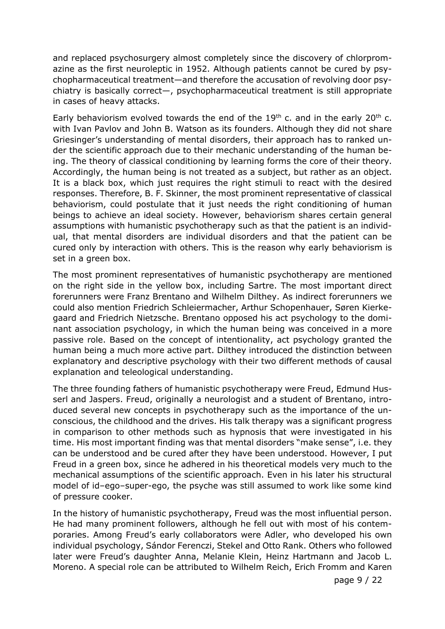and replaced psychosurgery almost completely since the discovery of chlorpromazine as the first neuroleptic in 1952. Although patients cannot be cured by psychopharmaceutical treatment—and therefore the accusation of revolving door psychiatry is basically correct—, psychopharmaceutical treatment is still appropriate in cases of heavy attacks.

Early behaviorism evolved towards the end of the  $19<sup>th</sup>$  c. and in the early  $20<sup>th</sup>$  c. with Ivan Pavlov and John B. Watson as its founders. Although they did not share Griesinger's understanding of mental disorders, their approach has to ranked under the scientific approach due to their mechanic understanding of the human being. The theory of classical conditioning by learning forms the core of their theory. Accordingly, the human being is not treated as a subject, but rather as an object. It is a black box, which just requires the right stimuli to react with the desired responses. Therefore, B. F. Skinner, the most prominent representative of classical behaviorism, could postulate that it just needs the right conditioning of human beings to achieve an ideal society. However, behaviorism shares certain general assumptions with humanistic psychotherapy such as that the patient is an individual, that mental disorders are individual disorders and that the patient can be cured only by interaction with others. This is the reason why early behaviorism is set in a green box.

The most prominent representatives of humanistic psychotherapy are mentioned on the right side in the yellow box, including Sartre. The most important direct forerunners were Franz Brentano and Wilhelm Dilthey. As indirect forerunners we could also mention Friedrich Schleiermacher, Arthur Schopenhauer, Søren Kierkegaard and Friedrich Nietzsche. Brentano opposed his act psychology to the dominant association psychology, in which the human being was conceived in a more passive role. Based on the concept of intentionality, act psychology granted the human being a much more active part. Dilthey introduced the distinction between explanatory and descriptive psychology with their two different methods of causal explanation and teleological understanding.

The three founding fathers of humanistic psychotherapy were Freud, Edmund Husserl and Jaspers. Freud, originally a neurologist and a student of Brentano, introduced several new concepts in psychotherapy such as the importance of the unconscious, the childhood and the drives. His talk therapy was a significant progress in comparison to other methods such as hypnosis that were investigated in his time. His most important finding was that mental disorders "make sense", i.e. they can be understood and be cured after they have been understood. However, I put Freud in a green box, since he adhered in his theoretical models very much to the mechanical assumptions of the scientific approach. Even in his later his structural model of id-ego-super-ego, the psyche was still assumed to work like some kind of pressure cooker.

In the history of humanistic psychotherapy, Freud was the most influential person. He had many prominent followers, although he fell out with most of his contemporaries. Among Freud's early collaborators were Adler, who developed his own individual psychology, Sándor Ferenczi, Stekel and Otto Rank. Others who followed later were Freud's daughter Anna, Melanie Klein, Heinz Hartmann and Jacob L. Moreno. A special role can be attributed to Wilhelm Reich, Erich Fromm and Karen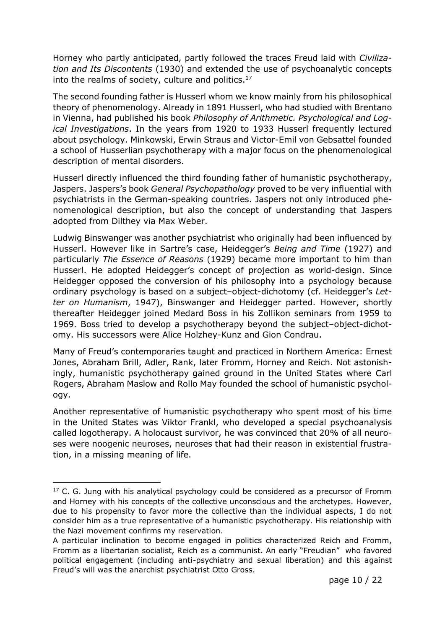Horney who partly anticipated, partly followed the traces Freud laid with *Civilization and Its Discontents* (1930) and extended the use of psychoanalytic concepts into the realms of society, culture and politics. $17$ 

The second founding father is Husserl whom we know mainly from his philosophical theory of phenomenology. Already in 1891 Husserl, who had studied with Brentano in Vienna, had published his book *Philosophy of Arithmetic. Psychological and Logical Investigations*. In the years from 1920 to 1933 Husserl frequently lectured about psychology. Minkowski, Erwin Straus and Victor-Emil von Gebsattel founded a school of Husserlian psychotherapy with a major focus on the phenomenological description of mental disorders.

Husserl directly influenced the third founding father of humanistic psychotherapy, Jaspers. Jaspers's book *General Psychopathology* proved to be very influential with psychiatrists in the German-speaking countries. Jaspers not only introduced phenomenological description, but also the concept of understanding that Jaspers adopted from Dilthey via Max Weber.

Ludwig Binswanger was another psychiatrist who originally had been influenced by Husserl. However like in Sartre's case, Heidegger's *Being and Time* (1927) and particularly *The Essence of Reasons* (1929) became more important to him than Husserl. He adopted Heidegger's concept of projection as world-design. Since Heidegger opposed the conversion of his philosophy into a psychology because ordinary psychology is based on a subject-object-dichotomy (cf. Heidegger's Let*ter on Humanism*, 1947), Binswanger and Heidegger parted. However, shortly thereafter Heidegger joined Medard Boss in his Zollikon seminars from 1959 to 1969. Boss tried to develop a psychotherapy beyond the subject-object-dichotomy. His successors were Alice Holzhey-Kunz and Gion Condrau.

Many of Freud's contemporaries taught and practiced in Northern America: Ernest Jones, Abraham Brill, Adler, Rank, later Fromm, Horney and Reich. Not astonishingly, humanistic psychotherapy gained ground in the United States where Carl Rogers, Abraham Maslow and Rollo May founded the school of humanistic psychology.

Another representative of humanistic psychotherapy who spent most of his time in the United States was Viktor Frankl, who developed a special psychoanalysis called logotherapy. A holocaust survivor, he was convinced that 20% of all neuroses were noogenic neuroses, neuroses that had their reason in existential frustration, in a missing meaning of life.

 $17$  C. G. Jung with his analytical psychology could be considered as a precursor of Fromm and Horney with his concepts of the collective unconscious and the archetypes. However, due to his propensity to favor more the collective than the individual aspects, I do not consider him as a true representative of a humanistic psychotherapy. His relationship with the Nazi movement confirms my reservation.

A particular inclination to become engaged in politics characterized Reich and Fromm, Fromm as a libertarian socialist, Reich as a communist. An early "Freudian" who favored political engagement (including anti-psychiatry and sexual liberation) and this against Freud's will was the anarchist psychiatrist Otto Gross.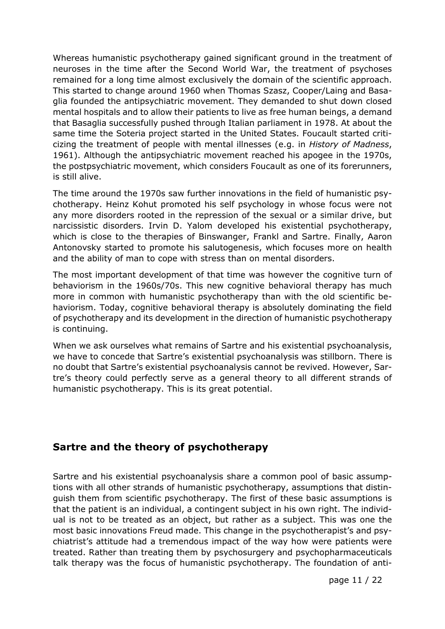Whereas humanistic psychotherapy gained significant ground in the treatment of neuroses in the time after the Second World War, the treatment of psychoses remained for a long time almost exclusively the domain of the scientific approach. This started to change around 1960 when Thomas Szasz, Cooper/Laing and Basaglia founded the antipsychiatric movement. They demanded to shut down closed mental hospitals and to allow their patients to live as free human beings, a demand that Basaglia successfully pushed through Italian parliament in 1978. At about the same time the Soteria project started in the United States. Foucault started criticizing the treatment of people with mental illnesses (e.g. in *History of Madness*, 1961). Although the antipsychiatric movement reached his apogee in the 1970s, the postpsychiatric movement, which considers Foucault as one of its forerunners, is still alive.

The time around the 1970s saw further innovations in the field of humanistic psychotherapy. Heinz Kohut promoted his self psychology in whose focus were not any more disorders rooted in the repression of the sexual or a similar drive, but narcissistic disorders. Irvin D. Yalom developed his existential psychotherapy, which is close to the therapies of Binswanger, Frankl and Sartre. Finally, Aaron Antonovsky started to promote his salutogenesis, which focuses more on health and the ability of man to cope with stress than on mental disorders.

The most important development of that time was however the cognitive turn of behaviorism in the 1960s/70s. This new cognitive behavioral therapy has much more in common with humanistic psychotherapy than with the old scientific behaviorism. Today, cognitive behavioral therapy is absolutely dominating the field of psychotherapy and its development in the direction of humanistic psychotherapy is continuing.

When we ask ourselves what remains of Sartre and his existential psychoanalysis, we have to concede that Sartre's existential psychoanalysis was stillborn. There is no doubt that Sartre's existential psychoanalysis cannot be revived. However, Sartre's theory could perfectly serve as a general theory to all different strands of humanistic psychotherapy. This is its great potential.

### **Sartre and the theory of psychotherapy**

Sartre and his existential psychoanalysis share a common pool of basic assumptions with all other strands of humanistic psychotherapy, assumptions that distinguish them from scientific psychotherapy. The first of these basic assumptions is that the patient is an individual, a contingent subject in his own right. The individual is not to be treated as an object, but rather as a subject. This was one the most basic innovations Freud made. This change in the psychotherapist's and psychiatrist's attitude had a tremendous impact of the way how were patients were treated. Rather than treating them by psychosurgery and psychopharmaceuticals talk therapy was the focus of humanistic psychotherapy. The foundation of anti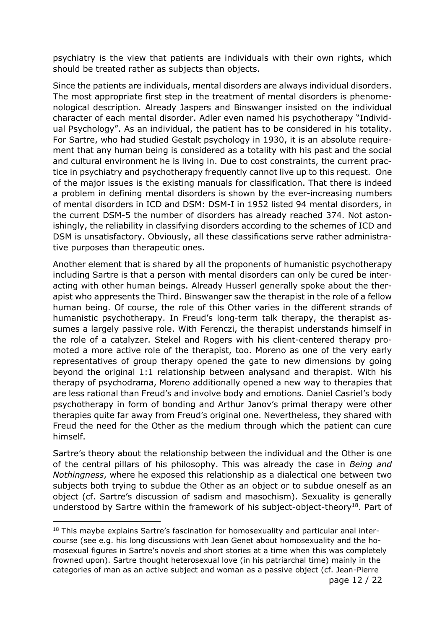psychiatry is the view that patients are individuals with their own rights, which should be treated rather as subjects than objects.

Since the patients are individuals, mental disorders are always individual disorders. The most appropriate first step in the treatment of mental disorders is phenomenological description. Already Jaspers and Binswanger insisted on the individual character of each mental disorder. Adler even named his psychotherapy "Individual Psychology". As an individual, the patient has to be considered in his totality. For Sartre, who had studied Gestalt psychology in 1930, it is an absolute requirement that any human being is considered as a totality with his past and the social and cultural environment he is living in. Due to cost constraints, the current practice in psychiatry and psychotherapy frequently cannot live up to this request. One of the major issues is the existing manuals for classification. That there is indeed a problem in defining mental disorders is shown by the ever-increasing numbers of mental disorders in ICD and DSM: DSM-I in 1952 listed 94 mental disorders, in the current DSM-5 the number of disorders has already reached 374. Not astonishingly, the reliability in classifying disorders according to the schemes of ICD and DSM is unsatisfactory. Obviously, all these classifications serve rather administrative purposes than therapeutic ones.

Another element that is shared by all the proponents of humanistic psychotherapy including Sartre is that a person with mental disorders can only be cured be interacting with other human beings. Already Husserl generally spoke about the therapist who appresents the Third. Binswanger saw the therapist in the role of a fellow human being. Of course, the role of this Other varies in the different strands of humanistic psychotherapy. In Freud's long-term talk therapy, the therapist assumes a largely passive role. With Ferenczi, the therapist understands himself in the role of a catalyzer. Stekel and Rogers with his client-centered therapy promoted a more active role of the therapist, too. Moreno as one of the very early representatives of group therapy opened the gate to new dimensions by going beyond the original 1:1 relationship between analysand and therapist. With his therapy of psychodrama, Moreno additionally opened a new way to therapies that are less rational than Freud's and involve body and emotions. Daniel Casriel's body psychotherapy in form of bonding and Arthur Janov's primal therapy were other therapies quite far away from Freud's original one. Nevertheless, they shared with Freud the need for the Other as the medium through which the patient can cure himself.

Sartre's theory about the relationship between the individual and the Other is one of the central pillars of his philosophy. This was already the case in *Being and Nothingness*, where he exposed this relationship as a dialectical one between two subjects both trying to subdue the Other as an object or to subdue oneself as an object (cf. Sartre's discussion of sadism and masochism). Sexuality is generally understood by Sartre within the framework of his subject-object-theory<sup>18</sup>. Part of

<sup>&</sup>lt;sup>18</sup> This maybe explains Sartre's fascination for homosexuality and particular anal intercourse (see e.g. his long discussions with Jean Genet about homosexuality and the homosexual figures in Sartre's novels and short stories at a time when this was completely frowned upon). Sartre thought heterosexual love (in his patriarchal time) mainly in the categories of man as an active subject and woman as a passive object (cf. Jean-Pierre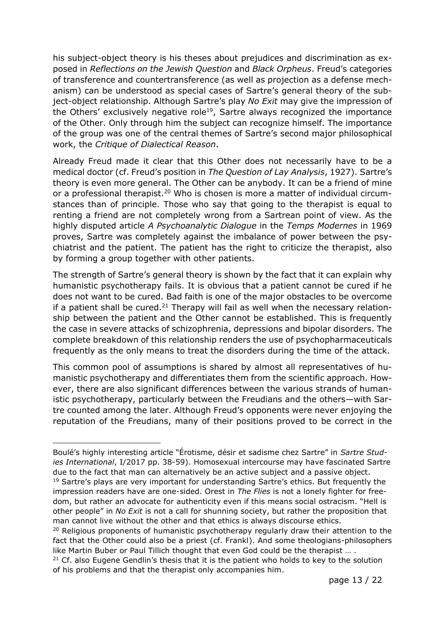his subject-object theory is his theses about prejudices and discrimination as exposed in *Reflections on the Jewish Question* and *Black Orpheus*. Freud's categories of transference and countertransference (as well as projection as a defense mechanism) can be understood as special cases of Sartre's general theory of the subject-object relationship. Although Sartre's play *No Exit* may give the impression of the Others' exclusively negative role<sup>19</sup>, Sartre always recognized the importance of the Other. Only through him the subject can recognize himself. The importance of the group was one of the central themes of Sartre's second major philosophical work, the *Critique of Dialectical Reason*.

Already Freud made it clear that this Other does not necessarily have to be a medical doctor (cf. Freud's position in *The Question of Lay Analysis*, 1927). Sartre's theory is even more general. The Other can be anybody. It can be a friend of mine or a professional therapist.<sup>20</sup> Who is chosen is more a matter of individual circumstances than of principle. Those who say that going to the therapist is equal to renting a friend are not completely wrong from a Sartrean point of view. As the highly disputed article *A Psychoanalytic Dialogue* in the *Temps Modernes* in 1969 proves, Sartre was completely against the imbalance of power between the psychiatrist and the patient. The patient has the right to criticize the therapist, also by forming a group together with other patients.

The strength of Sartre's general theory is shown by the fact that it can explain why humanistic psychotherapy fails. It is obvious that a patient cannot be cured if he does not want to be cured. Bad faith is one of the major obstacles to be overcome if a patient shall be cured.<sup>21</sup> Therapy will fail as well when the necessary relationship between the patient and the Other cannot be established. This is frequently the case in severe attacks of schizophrenia, depressions and bipolar disorders. The complete breakdown of this relationship renders the use of psychopharmaceuticals frequently as the only means to treat the disorders during the time of the attack.

This common pool of assumptions is shared by almost all representatives of humanistic psychotherapy and differentiates them from the scientific approach. However, there are also significant differences between the various strands of humanistic psychotherapy, particularly between the Freudians and the others—with Sartre counted among the later. Although Freud's opponents were never enjoying the reputation of the Freudians, many of their positions proved to be correct in the

Boulé's highly interesting article "Érotisme, désir et sadisme chez Sartre" in *Sartre Studies International*, I/2017 pp. 38-59). Homosexual intercourse may have fascinated Sartre due to the fact that man can alternatively be an active subject and a passive object.

<sup>&</sup>lt;sup>19</sup> Sartre's plays are very important for understanding Sartre's ethics. But frequently the impression readers have are one-sided. Orest in *The Flies* is not a lonely fighter for freedom, but rather an advocate for authenticity even if this means social ostracism. "Hell is other people" in *No Exit* is not a call for shunning society, but rather the proposition that man cannot live without the other and that ethics is always discourse ethics.

<sup>&</sup>lt;sup>20</sup> Religious proponents of humanistic psychotherapy regularly draw their attention to the fact that the Other could also be a priest (cf. Frankl). And some theologians-philosophers like Martin Buber or Paul Tillich thought that even God could be the therapist … .

 $21$  Cf. also Eugene Gendlin's thesis that it is the patient who holds to key to the solution of his problems and that the therapist only accompanies him.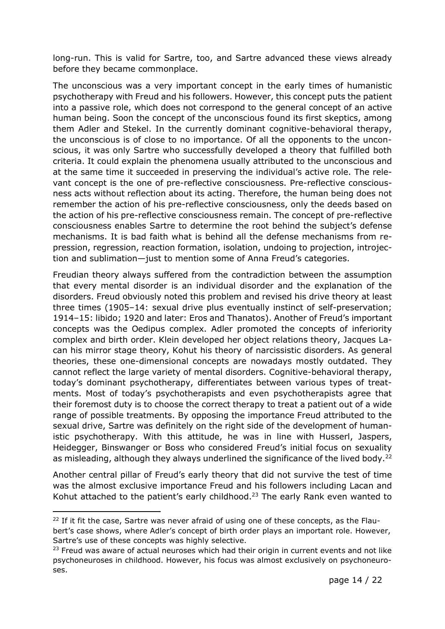long-run. This is valid for Sartre, too, and Sartre advanced these views already before they became commonplace.

The unconscious was a very important concept in the early times of humanistic psychotherapy with Freud and his followers. However, this concept puts the patient into a passive role, which does not correspond to the general concept of an active human being. Soon the concept of the unconscious found its first skeptics, among them Adler and Stekel. In the currently dominant cognitive-behavioral therapy, the unconscious is of close to no importance. Of all the opponents to the unconscious, it was only Sartre who successfully developed a theory that fulfilled both criteria. It could explain the phenomena usually attributed to the unconscious and at the same time it succeeded in preserving the individual's active role. The relevant concept is the one of pre-reflective consciousness. Pre-reflective consciousness acts without reflection about its acting. Therefore, the human being does not remember the action of his pre-reflective consciousness, only the deeds based on the action of his pre-reflective consciousness remain. The concept of pre-reflective consciousness enables Sartre to determine the root behind the subject's defense mechanisms. It is bad faith what is behind all the defense mechanisms from repression, regression, reaction formation, isolation, undoing to projection, introjection and sublimation—just to mention some of Anna Freud's categories.

Freudian theory always suffered from the contradiction between the assumption that every mental disorder is an individual disorder and the explanation of the disorders. Freud obviously noted this problem and revised his drive theory at least three times (1905-14: sexual drive plus eventually instinct of self-preservation; 1914–15: libido; 1920 and later: Eros and Thanatos). Another of Freud's important concepts was the Oedipus complex. Adler promoted the concepts of inferiority complex and birth order. Klein developed her object relations theory, Jacques Lacan his mirror stage theory, Kohut his theory of narcissistic disorders. As general theories, these one-dimensional concepts are nowadays mostly outdated. They cannot reflect the large variety of mental disorders. Cognitive-behavioral therapy, today's dominant psychotherapy, differentiates between various types of treatments. Most of today's psychotherapists and even psychotherapists agree that their foremost duty is to choose the correct therapy to treat a patient out of a wide range of possible treatments. By opposing the importance Freud attributed to the sexual drive, Sartre was definitely on the right side of the development of humanistic psychotherapy. With this attitude, he was in line with Husserl, Jaspers, Heidegger, Binswanger or Boss who considered Freud's initial focus on sexuality as misleading, although they always underlined the significance of the lived body.<sup>22</sup>

Another central pillar of Freud's early theory that did not survive the test of time was the almost exclusive importance Freud and his followers including Lacan and Kohut attached to the patient's early childhood.<sup>23</sup> The early Rank even wanted to

<sup>&</sup>lt;sup>22</sup> If it fit the case, Sartre was never afraid of using one of these concepts, as the Flaubert's case shows, where Adler's concept of birth order plays an important role. However, Sartre's use of these concepts was highly selective.

 $23$  Freud was aware of actual neuroses which had their origin in current events and not like psychoneuroses in childhood. However, his focus was almost exclusively on psychoneuroses.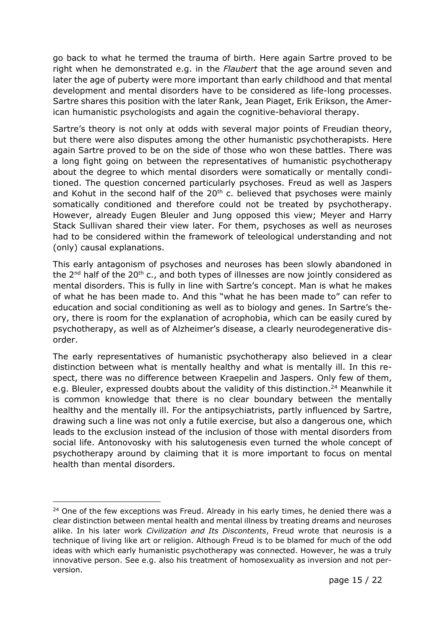go back to what he termed the trauma of birth. Here again Sartre proved to be right when he demonstrated e.g. in the *Flaubert* that the age around seven and later the age of puberty were more important than early childhood and that mental development and mental disorders have to be considered as life-long processes. Sartre shares this position with the later Rank, Jean Piaget, Erik Erikson, the American humanistic psychologists and again the cognitive-behavioral therapy.

Sartre's theory is not only at odds with several major points of Freudian theory, but there were also disputes among the other humanistic psychotherapists. Here again Sartre proved to be on the side of those who won these battles. There was a long fight going on between the representatives of humanistic psychotherapy about the degree to which mental disorders were somatically or mentally conditioned. The question concerned particularly psychoses. Freud as well as Jaspers and Kohut in the second half of the  $20<sup>th</sup>$  c. believed that psychoses were mainly somatically conditioned and therefore could not be treated by psychotherapy. However, already Eugen Bleuler and Jung opposed this view; Meyer and Harry Stack Sullivan shared their view later. For them, psychoses as well as neuroses had to be considered within the framework of teleological understanding and not (only) causal explanations.

This early antagonism of psychoses and neuroses has been slowly abandoned in the  $2^{nd}$  half of the  $20^{th}$  c., and both types of illnesses are now jointly considered as mental disorders. This is fully in line with Sartre's concept. Man is what he makes of what he has been made to. And this "what he has been made to" can refer to education and social conditioning as well as to biology and genes. In Sartre's theory, there is room for the explanation of acrophobia, which can be easily cured by psychotherapy, as well as of Alzheimer's disease, a clearly neurodegenerative disorder.

The early representatives of humanistic psychotherapy also believed in a clear distinction between what is mentally healthy and what is mentally ill. In this respect, there was no difference between Kraepelin and Jaspers. Only few of them, e.g. Bleuler, expressed doubts about the validity of this distinction.<sup>24</sup> Meanwhile it is common knowledge that there is no clear boundary between the mentally healthy and the mentally ill. For the antipsychiatrists, partly influenced by Sartre, drawing such a line was not only a futile exercise, but also a dangerous one, which leads to the exclusion instead of the inclusion of those with mental disorders from social life. Antonovosky with his salutogenesis even turned the whole concept of psychotherapy around by claiming that it is more important to focus on mental health than mental disorders.

 $24$  One of the few exceptions was Freud. Already in his early times, he denied there was a clear distinction between mental health and mental illness by treating dreams and neuroses alike. In his later work *Civilization and Its Discontents*, Freud wrote that neurosis is a technique of living like art or religion. Although Freud is to be blamed for much of the odd ideas with which early humanistic psychotherapy was connected. However, he was a truly innovative person. See e.g. also his treatment of homosexuality as inversion and not perversion.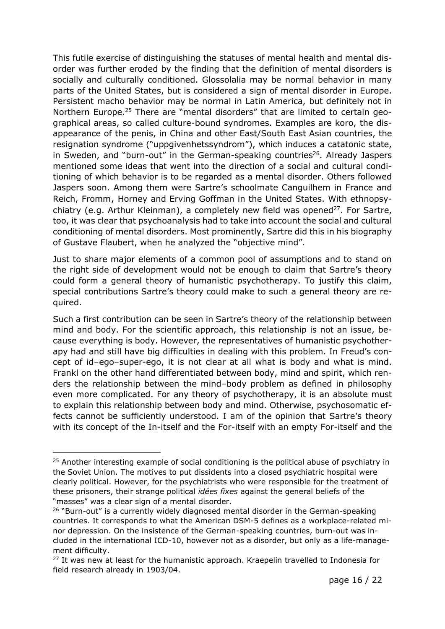This futile exercise of distinguishing the statuses of mental health and mental disorder was further eroded by the finding that the definition of mental disorders is socially and culturally conditioned. Glossolalia may be normal behavior in many parts of the United States, but is considered a sign of mental disorder in Europe. Persistent macho behavior may be normal in Latin America, but definitely not in Northern Europe.<sup>25</sup> There are "mental disorders" that are limited to certain geographical areas, so called culture-bound syndromes. Examples are koro, the disappearance of the penis, in China and other East/South East Asian countries, the resignation syndrome ("uppgivenhetssyndrom"), which induces a catatonic state, in Sweden, and "burn-out" in the German-speaking countries<sup>26</sup>. Already Jaspers mentioned some ideas that went into the direction of a social and cultural conditioning of which behavior is to be regarded as a mental disorder. Others followed Jaspers soon. Among them were Sartre's schoolmate Canguilhem in France and Reich, Fromm, Horney and Erving Goffman in the United States. With ethnopsychiatry (e.g. Arthur Kleinman), a completely new field was opened<sup>27</sup>. For Sartre, too, it was clear that psychoanalysis had to take into account the social and cultural conditioning of mental disorders. Most prominently, Sartre did this in his biography of Gustave Flaubert, when he analyzed the "objective mind".

Just to share major elements of a common pool of assumptions and to stand on the right side of development would not be enough to claim that Sartre's theory could form a general theory of humanistic psychotherapy. To justify this claim, special contributions Sartre's theory could make to such a general theory are required.

Such a first contribution can be seen in Sartre's theory of the relationship between mind and body. For the scientific approach, this relationship is not an issue, because everything is body. However, the representatives of humanistic psychotherapy had and still have big difficulties in dealing with this problem. In Freud's concept of id–ego–super-ego, it is not clear at all what is body and what is mind. Frankl on the other hand differentiated between body, mind and spirit, which renders the relationship between the mind-body problem as defined in philosophy even more complicated. For any theory of psychotherapy, it is an absolute must to explain this relationship between body and mind. Otherwise, psychosomatic effects cannot be sufficiently understood. I am of the opinion that Sartre's theory with its concept of the In-itself and the For-itself with an empty For-itself and the

 $25$  Another interesting example of social conditioning is the political abuse of psychiatry in the Soviet Union. The motives to put dissidents into a closed psychiatric hospital were clearly political. However, for the psychiatrists who were responsible for the treatment of these prisoners, their strange political *idées fixes* against the general beliefs of the "masses" was a clear sign of a mental disorder.

<sup>&</sup>lt;sup>26</sup> "Burn-out" is a currently widely diagnosed mental disorder in the German-speaking countries. It corresponds to what the American DSM-5 defines as a workplace-related minor depression. On the insistence of the German-speaking countries, burn-out was included in the international ICD-10, however not as a disorder, but only as a life-management difficulty.

 $27$  It was new at least for the humanistic approach. Kraepelin travelled to Indonesia for field research already in 1903/04.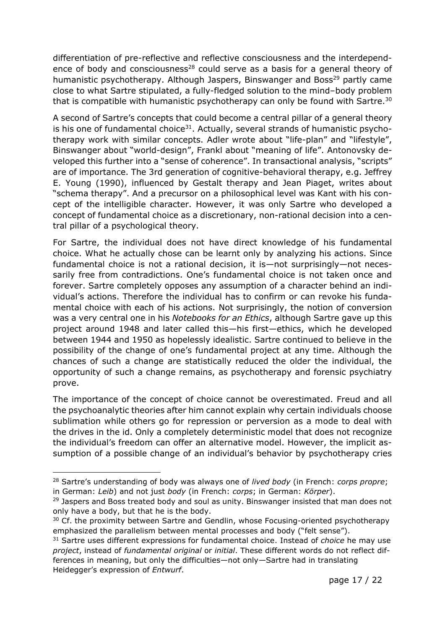differentiation of pre-reflective and reflective consciousness and the interdependence of body and consciousness<sup>28</sup> could serve as a basis for a general theory of humanistic psychotherapy. Although Jaspers, Binswanger and Boss<sup>29</sup> partly came close to what Sartre stipulated, a fully-fledged solution to the mind-body problem that is compatible with humanistic psychotherapy can only be found with Sartre.<sup>30</sup>

A second of Sartre's concepts that could become a central pillar of a general theory is his one of fundamental choice<sup>31</sup>. Actually, several strands of humanistic psychotherapy work with similar concepts. Adler wrote about "life-plan" and "lifestyle", Binswanger about "world-design", Frankl about "meaning of life". Antonovsky developed this further into a "sense of coherence". In transactional analysis, "scripts" are of importance. The 3rd generation of cognitive-behavioral therapy, e.g. Jeffrey E. Young (1990), influenced by Gestalt therapy and Jean Piaget, writes about "schema therapy". And a precursor on a philosophical level was Kant with his concept of the intelligible character. However, it was only Sartre who developed a concept of fundamental choice as a discretionary, non-rational decision into a central pillar of a psychological theory.

For Sartre, the individual does not have direct knowledge of his fundamental choice. What he actually chose can be learnt only by analyzing his actions. Since fundamental choice is not a rational decision, it is—not surprisingly—not necessarily free from contradictions. One's fundamental choice is not taken once and forever. Sartre completely opposes any assumption of a character behind an individual's actions. Therefore the individual has to confirm or can revoke his fundamental choice with each of his actions. Not surprisingly, the notion of conversion was a very central one in his *Notebooks for an Ethics*, although Sartre gave up this project around 1948 and later called this—his first—ethics, which he developed between 1944 and 1950 as hopelessly idealistic. Sartre continued to believe in the possibility of the change of one's fundamental project at any time. Although the chances of such a change are statistically reduced the older the individual, the opportunity of such a change remains, as psychotherapy and forensic psychiatry prove.

The importance of the concept of choice cannot be overestimated. Freud and all the psychoanalytic theories after him cannot explain why certain individuals choose sublimation while others go for repression or perversion as a mode to deal with the drives in the id. Only a completely deterministic model that does not recognize the individual's freedom can offer an alternative model. However, the implicit assumption of a possible change of an individual's behavior by psychotherapy cries

<sup>28</sup> Sartre's understanding of body was always one of *lived body* (in French: *corps propre*; in German: *Leib*) and not just *body* (in French: *corps*; in German: *Körper*).

<sup>&</sup>lt;sup>29</sup> Jaspers and Boss treated body and soul as unity. Binswanger insisted that man does not only have a body, but that he is the body.

<sup>&</sup>lt;sup>30</sup> Cf. the proximity between Sartre and Gendlin, whose Focusing-oriented psychotherapy emphasized the parallelism between mental processes and body ("felt sense").

<sup>31</sup> Sartre uses different expressions for fundamental choice. Instead of *choice* he may use *project*, instead of *fundamental original* or *initial*. These different words do not reflect differences in meaning, but only the difficulties—not only—Sartre had in translating Heidegger's expression of *Entwurf*.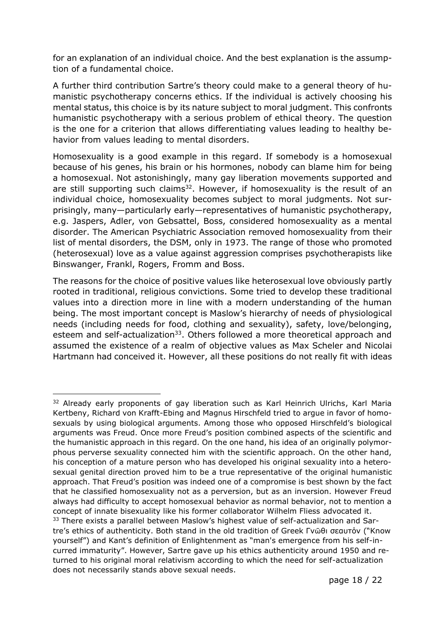for an explanation of an individual choice. And the best explanation is the assumption of a fundamental choice.

A further third contribution Sartre's theory could make to a general theory of humanistic psychotherapy concerns ethics. If the individual is actively choosing his mental status, this choice is by its nature subject to moral judgment. This confronts humanistic psychotherapy with a serious problem of ethical theory. The question is the one for a criterion that allows differentiating values leading to healthy behavior from values leading to mental disorders.

Homosexuality is a good example in this regard. If somebody is a homosexual because of his genes, his brain or his hormones, nobody can blame him for being a homosexual. Not astonishingly, many gay liberation movements supported and are still supporting such claims $32$ . However, if homosexuality is the result of an individual choice, homosexuality becomes subject to moral judgments. Not surprisingly, many—particularly early—representatives of humanistic psychotherapy, e.g. Jaspers, Adler, von Gebsattel, Boss, considered homosexuality as a mental disorder. The American Psychiatric Association removed homosexuality from their list of mental disorders, the DSM, only in 1973. The range of those who promoted (heterosexual) love as a value against aggression comprises psychotherapists like Binswanger, Frankl, Rogers, Fromm and Boss.

The reasons for the choice of positive values like heterosexual love obviously partly rooted in traditional, religious convictions. Some tried to develop these traditional values into a direction more in line with a modern understanding of the human being. The most important concept is Maslow's hierarchy of needs of physiological needs (including needs for food, clothing and sexuality), safety, love/belonging, esteem and self-actualization<sup>33</sup>. Others followed a more theoretical approach and assumed the existence of a realm of objective values as Max Scheler and Nicolai Hartmann had conceived it. However, all these positions do not really fit with ideas

<sup>&</sup>lt;sup>32</sup> Already early proponents of gay liberation such as Karl Heinrich Ulrichs, Karl Maria Kertbeny, Richard von Krafft-Ebing and Magnus Hirschfeld tried to argue in favor of homosexuals by using biological arguments. Among those who opposed Hirschfeld's biological arguments was Freud. Once more Freud's position combined aspects of the scientific and the humanistic approach in this regard. On the one hand, his idea of an originally polymorphous perverse sexuality connected him with the scientific approach. On the other hand, his conception of a mature person who has developed his original sexuality into a heterosexual genital direction proved him to be a true representative of the original humanistic approach. That Freud's position was indeed one of a compromise is best shown by the fact that he classified homosexuality not as a perversion, but as an inversion. However Freud always had difficulty to accept homosexual behavior as normal behavior, not to mention a concept of innate bisexuality like his former collaborator Wilhelm Fliess advocated it. <sup>33</sup> There exists a parallel between Maslow's highest value of self-actualization and Sartre's ethics of authenticity. Both stand in the old tradition of Greek Γνῶθι σεαυτόν ("Know yourself") and Kant's definition of Enlightenment as "man's emergence from his self-incurred immaturity". However, Sartre gave up his ethics authenticity around 1950 and returned to his original moral relativism according to which the need for self-actualization does not necessarily stands above sexual needs.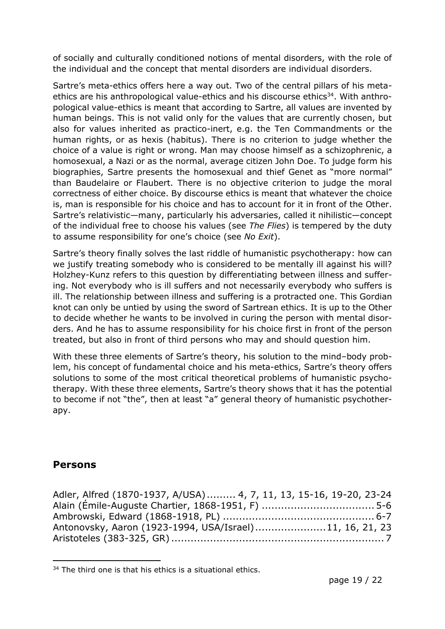of socially and culturally conditioned notions of mental disorders, with the role of the individual and the concept that mental disorders are individual disorders.

Sartre's meta-ethics offers here a way out. Two of the central pillars of his metaethics are his anthropological value-ethics and his discourse ethics<sup>34</sup>. With anthropological value-ethics is meant that according to Sartre, all values are invented by human beings. This is not valid only for the values that are currently chosen, but also for values inherited as practico-inert, e.g. the Ten Commandments or the human rights, or as hexis (habitus). There is no criterion to judge whether the choice of a value is right or wrong. Man may choose himself as a schizophrenic, a homosexual, a Nazi or as the normal, average citizen John Doe. To judge form his biographies, Sartre presents the homosexual and thief Genet as "more normal" than Baudelaire or Flaubert. There is no objective criterion to judge the moral correctness of either choice. By discourse ethics is meant that whatever the choice is, man is responsible for his choice and has to account for it in front of the Other. Sartre's relativistic—many, particularly his adversaries, called it nihilistic—concept of the individual free to choose his values (see *The Flies*) is tempered by the duty to assume responsibility for one's choice (see *No Exit*).

Sartre's theory finally solves the last riddle of humanistic psychotherapy: how can we justify treating somebody who is considered to be mentally ill against his will? Holzhey-Kunz refers to this question by differentiating between illness and suffering. Not everybody who is ill suffers and not necessarily everybody who suffers is ill. The relationship between illness and suffering is a protracted one. This Gordian knot can only be untied by using the sword of Sartrean ethics. It is up to the Other to decide whether he wants to be involved in curing the person with mental disorders. And he has to assume responsibility for his choice first in front of the person treated, but also in front of third persons who may and should question him.

With these three elements of Sartre's theory, his solution to the mind-body problem, his concept of fundamental choice and his meta-ethics, Sartre's theory offers solutions to some of the most critical theoretical problems of humanistic psychotherapy. With these three elements, Sartre's theory shows that it has the potential to become if not "the", then at least "a" general theory of humanistic psychotherapy.

### **Persons**

| Adler, Alfred (1870-1937, A/USA) 4, 7, 11, 13, 15-16, 19-20, 23-24 |  |
|--------------------------------------------------------------------|--|
|                                                                    |  |
|                                                                    |  |
| Antonovsky, Aaron (1923-1994, USA/Israel)11, 16, 21, 23            |  |
|                                                                    |  |

 $34$  The third one is that his ethics is a situational ethics.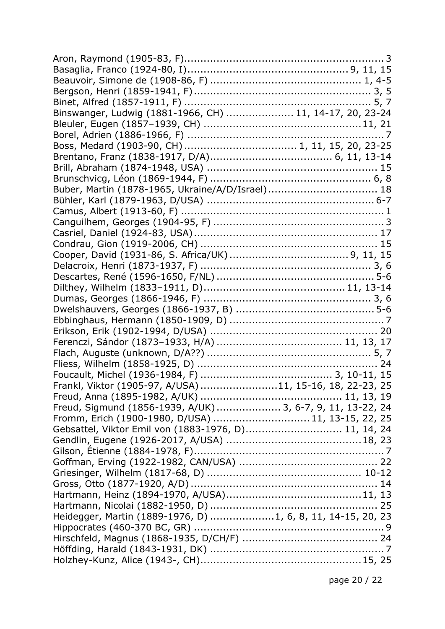| Binswanger, Ludwig (1881-1966, CH)  11, 14-17, 20, 23-24    |  |  |  |
|-------------------------------------------------------------|--|--|--|
|                                                             |  |  |  |
|                                                             |  |  |  |
|                                                             |  |  |  |
|                                                             |  |  |  |
|                                                             |  |  |  |
|                                                             |  |  |  |
| Buber, Martin (1878-1965, Ukraine/A/D/Israel) 18            |  |  |  |
|                                                             |  |  |  |
|                                                             |  |  |  |
|                                                             |  |  |  |
|                                                             |  |  |  |
|                                                             |  |  |  |
|                                                             |  |  |  |
|                                                             |  |  |  |
|                                                             |  |  |  |
|                                                             |  |  |  |
|                                                             |  |  |  |
|                                                             |  |  |  |
|                                                             |  |  |  |
|                                                             |  |  |  |
|                                                             |  |  |  |
|                                                             |  |  |  |
|                                                             |  |  |  |
|                                                             |  |  |  |
| Frankl, Viktor (1905-97, A/USA) 11, 15-16, 18, 22-23, 25    |  |  |  |
|                                                             |  |  |  |
| Freud, Sigmund (1856-1939, A/UK)  3, 6-7, 9, 11, 13-22, 24  |  |  |  |
| Fromm, Erich (1900-1980, D/USA)  11, 13-15, 22, 25          |  |  |  |
| Gebsattel, Viktor Emil von (1883-1976, D) 11, 14, 24        |  |  |  |
|                                                             |  |  |  |
|                                                             |  |  |  |
|                                                             |  |  |  |
|                                                             |  |  |  |
|                                                             |  |  |  |
|                                                             |  |  |  |
|                                                             |  |  |  |
|                                                             |  |  |  |
| Heidegger, Martin (1889-1976, D) 1, 6, 8, 11, 14-15, 20, 23 |  |  |  |
|                                                             |  |  |  |
|                                                             |  |  |  |
|                                                             |  |  |  |
|                                                             |  |  |  |

page 20 / 22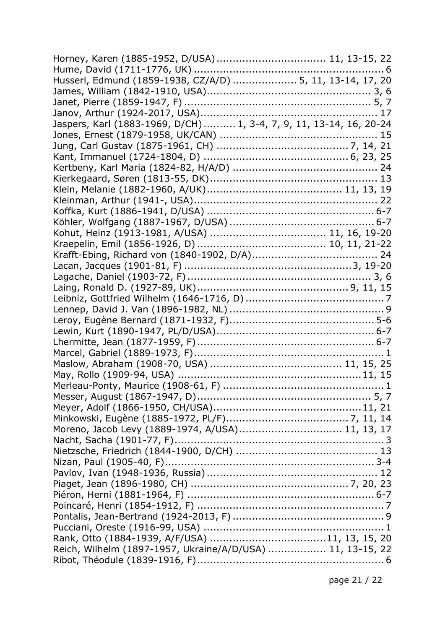| Horney, Karen (1885-1952, D/USA) 11, 13-15, 22                      |  |
|---------------------------------------------------------------------|--|
|                                                                     |  |
| Husserl, Edmund (1859-1938, CZ/A/D)  5, 11, 13-14, 17, 20           |  |
|                                                                     |  |
|                                                                     |  |
|                                                                     |  |
| Jaspers, Karl (1883-1969, D/CH)  1, 3-4, 7, 9, 11, 13-14, 16, 20-24 |  |
|                                                                     |  |
|                                                                     |  |
|                                                                     |  |
|                                                                     |  |
|                                                                     |  |
|                                                                     |  |
|                                                                     |  |
|                                                                     |  |
|                                                                     |  |
|                                                                     |  |
|                                                                     |  |
|                                                                     |  |
|                                                                     |  |
|                                                                     |  |
|                                                                     |  |
|                                                                     |  |
|                                                                     |  |
|                                                                     |  |
|                                                                     |  |
|                                                                     |  |
|                                                                     |  |
|                                                                     |  |
|                                                                     |  |
|                                                                     |  |
|                                                                     |  |
|                                                                     |  |
| Moreno, Jacob Levy (1889-1974, A/USA) 11, 13, 17                    |  |
|                                                                     |  |
|                                                                     |  |
|                                                                     |  |
|                                                                     |  |
|                                                                     |  |
|                                                                     |  |
|                                                                     |  |
|                                                                     |  |
|                                                                     |  |
|                                                                     |  |
| Reich, Wilhelm (1897-1957, Ukraine/A/D/USA)  11, 13-15, 22          |  |
|                                                                     |  |

page 21 / 22